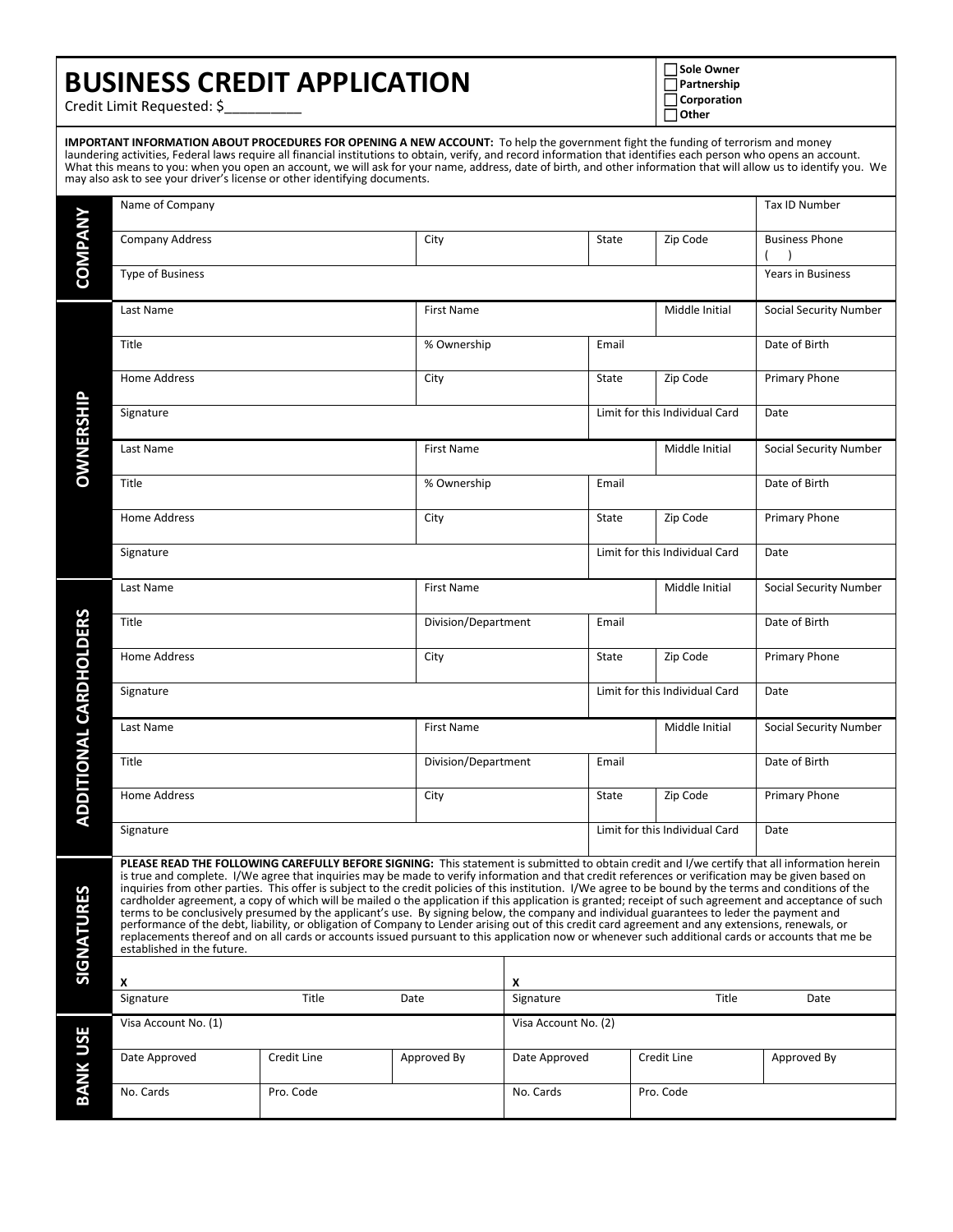## **BUSINESS CREDIT APPLICATION**

 **Sole Owner Partnership Corporation Other**

Credit Limit Requested: \$\_\_\_\_\_\_\_\_\_\_

**IMPORTANT INFORMATION ABOUT PROCEDURES FOR OPENING A NEW ACCOUNT:** To help the government fight the funding of terrorism and money laundering activities, Federal laws require all financial institutions to obtain, verify, and record information that identifies each person who opens an account. What this means to you: when you open an account, we will ask for your name, address, date of birth, and other information that will allow us to identify you. We may also ask to see your driver's license or other identifying documents.

|                               | Name of Company                                                                                                                                                                                                                                                                                                                                                                                                                                                                                                                                                                                                                                                                                                                                                                                                                                                                                                                                                                                                                                                                                                    |                   |                              |                              |                                |                        | Tax ID Number            |
|-------------------------------|--------------------------------------------------------------------------------------------------------------------------------------------------------------------------------------------------------------------------------------------------------------------------------------------------------------------------------------------------------------------------------------------------------------------------------------------------------------------------------------------------------------------------------------------------------------------------------------------------------------------------------------------------------------------------------------------------------------------------------------------------------------------------------------------------------------------------------------------------------------------------------------------------------------------------------------------------------------------------------------------------------------------------------------------------------------------------------------------------------------------|-------------------|------------------------------|------------------------------|--------------------------------|------------------------|--------------------------|
| <b>COMPANY</b>                | <b>Company Address</b>                                                                                                                                                                                                                                                                                                                                                                                                                                                                                                                                                                                                                                                                                                                                                                                                                                                                                                                                                                                                                                                                                             |                   | City                         |                              | State                          | Zip Code               | <b>Business Phone</b>    |
|                               | <b>Type of Business</b>                                                                                                                                                                                                                                                                                                                                                                                                                                                                                                                                                                                                                                                                                                                                                                                                                                                                                                                                                                                                                                                                                            |                   |                              |                              |                                |                        | <b>Years in Business</b> |
| <b>OWNERSHIP</b>              | Last Name                                                                                                                                                                                                                                                                                                                                                                                                                                                                                                                                                                                                                                                                                                                                                                                                                                                                                                                                                                                                                                                                                                          |                   | <b>First Name</b>            |                              |                                | Middle Initial         | Social Security Number   |
|                               | Title                                                                                                                                                                                                                                                                                                                                                                                                                                                                                                                                                                                                                                                                                                                                                                                                                                                                                                                                                                                                                                                                                                              |                   | % Ownership                  |                              |                                |                        | Date of Birth            |
|                               | Home Address                                                                                                                                                                                                                                                                                                                                                                                                                                                                                                                                                                                                                                                                                                                                                                                                                                                                                                                                                                                                                                                                                                       |                   | City                         |                              |                                | Zip Code               | Primary Phone            |
|                               | Limit for this Individual Card<br>Signature                                                                                                                                                                                                                                                                                                                                                                                                                                                                                                                                                                                                                                                                                                                                                                                                                                                                                                                                                                                                                                                                        |                   |                              |                              |                                |                        | Date                     |
|                               | Last Name                                                                                                                                                                                                                                                                                                                                                                                                                                                                                                                                                                                                                                                                                                                                                                                                                                                                                                                                                                                                                                                                                                          |                   | <b>First Name</b>            |                              |                                | Middle Initial         | Social Security Number   |
|                               | Title                                                                                                                                                                                                                                                                                                                                                                                                                                                                                                                                                                                                                                                                                                                                                                                                                                                                                                                                                                                                                                                                                                              |                   | % Ownership                  | Email                        |                                |                        | Date of Birth            |
|                               | <b>Home Address</b>                                                                                                                                                                                                                                                                                                                                                                                                                                                                                                                                                                                                                                                                                                                                                                                                                                                                                                                                                                                                                                                                                                |                   | City                         |                              |                                | Zip Code               | Primary Phone            |
|                               | Signature                                                                                                                                                                                                                                                                                                                                                                                                                                                                                                                                                                                                                                                                                                                                                                                                                                                                                                                                                                                                                                                                                                          |                   |                              |                              | Limit for this Individual Card | Date                   |                          |
| <b>ADDITIONAL CARDHOLDERS</b> | Last Name                                                                                                                                                                                                                                                                                                                                                                                                                                                                                                                                                                                                                                                                                                                                                                                                                                                                                                                                                                                                                                                                                                          |                   | <b>First Name</b>            |                              |                                | Middle Initial         | Social Security Number   |
|                               | Title                                                                                                                                                                                                                                                                                                                                                                                                                                                                                                                                                                                                                                                                                                                                                                                                                                                                                                                                                                                                                                                                                                              |                   |                              | Division/Department<br>Email |                                |                        | Date of Birth            |
|                               | Home Address                                                                                                                                                                                                                                                                                                                                                                                                                                                                                                                                                                                                                                                                                                                                                                                                                                                                                                                                                                                                                                                                                                       |                   | City                         |                              |                                | Zip Code               | <b>Primary Phone</b>     |
|                               | Limit for this Individual Card<br>Signature                                                                                                                                                                                                                                                                                                                                                                                                                                                                                                                                                                                                                                                                                                                                                                                                                                                                                                                                                                                                                                                                        |                   |                              |                              |                                |                        | Date                     |
|                               | Last Name                                                                                                                                                                                                                                                                                                                                                                                                                                                                                                                                                                                                                                                                                                                                                                                                                                                                                                                                                                                                                                                                                                          | <b>First Name</b> |                              |                              | Middle Initial                 | Social Security Number |                          |
|                               | Title                                                                                                                                                                                                                                                                                                                                                                                                                                                                                                                                                                                                                                                                                                                                                                                                                                                                                                                                                                                                                                                                                                              |                   | Division/Department<br>Email |                              |                                | Date of Birth          |                          |
|                               | Home Address                                                                                                                                                                                                                                                                                                                                                                                                                                                                                                                                                                                                                                                                                                                                                                                                                                                                                                                                                                                                                                                                                                       | City              |                              |                              | Zip Code                       | Primary Phone          |                          |
|                               | Signature                                                                                                                                                                                                                                                                                                                                                                                                                                                                                                                                                                                                                                                                                                                                                                                                                                                                                                                                                                                                                                                                                                          |                   |                              |                              | Limit for this Individual Card | Date                   |                          |
| <b>SIGNATURES</b>             | PLEASE READ THE FOLLOWING CAREFULLY BEFORE SIGNING: This statement is submitted to obtain credit and I/we certify that all information herein<br>is true and complete. I/We agree that inquiries may be made to verify information and that credit references or verification may be given based on<br>inquiries from other parties. This offer is subject to the credit policies of this institution. I/We agree to be bound by the terms and conditions of the<br>cardholder agreement, a copy of which will be mailed o the application if this application is granted; receipt of such agreement and acceptance of such<br>terms to be conclusively presumed by the applicant's use. By signing below, the company and individual guarantees to leder the payment and<br>performance of the debt, liability, or obligation of Company to Lender arising out of this credit card agreement and any extensions, renewals, or<br>replacements thereof and on all cards or accounts issued pursuant to this application now or whenever such additional cards or accounts that me be<br>established in the future. |                   |                              |                              |                                |                        |                          |
|                               | X                                                                                                                                                                                                                                                                                                                                                                                                                                                                                                                                                                                                                                                                                                                                                                                                                                                                                                                                                                                                                                                                                                                  |                   |                              | x                            |                                |                        |                          |
|                               | Signature                                                                                                                                                                                                                                                                                                                                                                                                                                                                                                                                                                                                                                                                                                                                                                                                                                                                                                                                                                                                                                                                                                          | Title             | Date                         | Signature                    |                                | Title                  | Date                     |
| <b>BANK USE</b>               | Visa Account No. (1)                                                                                                                                                                                                                                                                                                                                                                                                                                                                                                                                                                                                                                                                                                                                                                                                                                                                                                                                                                                                                                                                                               |                   | Visa Account No. (2)         |                              |                                |                        |                          |
|                               | Date Approved                                                                                                                                                                                                                                                                                                                                                                                                                                                                                                                                                                                                                                                                                                                                                                                                                                                                                                                                                                                                                                                                                                      | Credit Line       | Approved By                  | Date Approved                |                                | Credit Line            | Approved By              |
|                               | No. Cards                                                                                                                                                                                                                                                                                                                                                                                                                                                                                                                                                                                                                                                                                                                                                                                                                                                                                                                                                                                                                                                                                                          | Pro. Code         |                              | No. Cards                    |                                | Pro. Code              |                          |